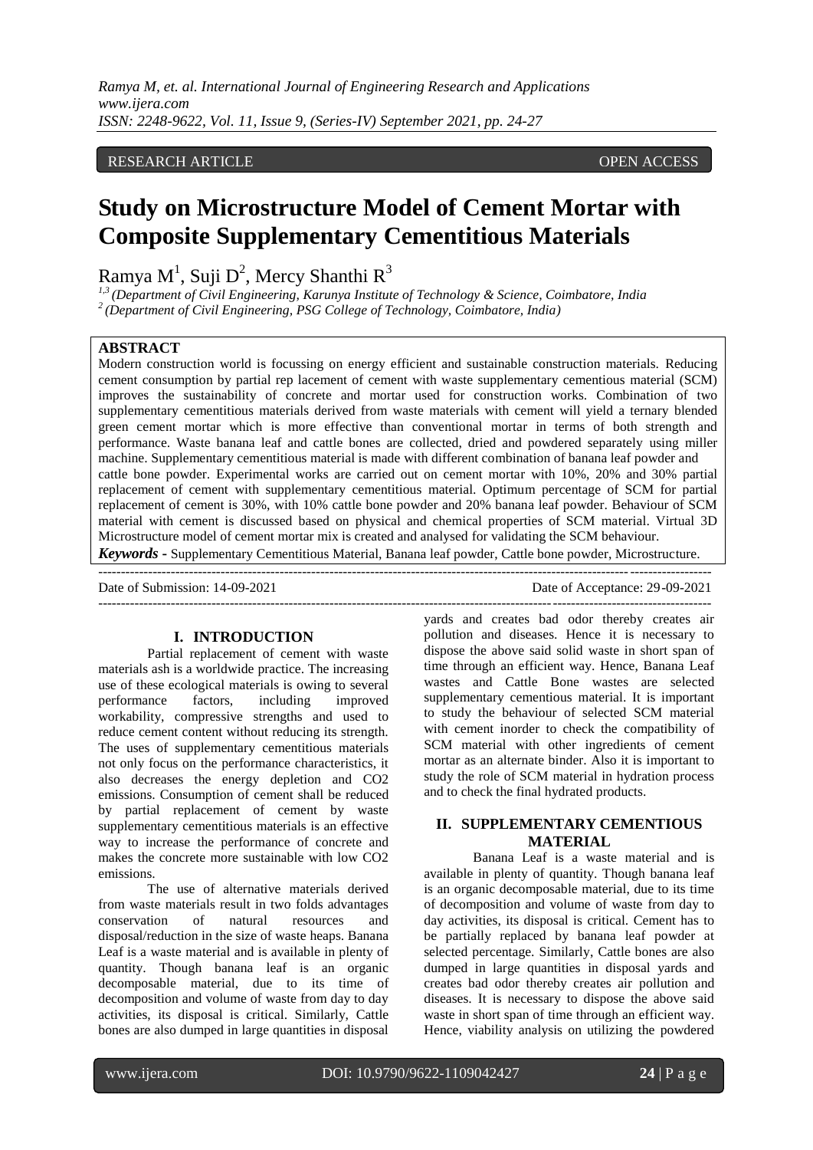*Ramya M, et. al. International Journal of Engineering Research and Applications www.ijera.com ISSN: 2248-9622, Vol. 11, Issue 9, (Series-IV) September 2021, pp. 24-27*

# RESEARCH ARTICLE **CONTRACT ARTICLE**

# **Study on Microstructure Model of Cement Mortar with Composite Supplementary Cementitious Materials**

Ramya M $^1$ , Suji D $^2$ , Mercy Shanthi R $^3$ 

*1,3 (Department of Civil Engineering, Karunya Institute of Technology & Science, Coimbatore, India 2 (Department of Civil Engineering, PSG College of Technology, Coimbatore, India)*

## **ABSTRACT**

Modern construction world is focussing on energy efficient and sustainable construction materials. Reducing cement consumption by partial rep lacement of cement with waste supplementary cementious material (SCM) improves the sustainability of concrete and mortar used for construction works. Combination of two supplementary cementitious materials derived from waste materials with cement will yield a ternary blended green cement mortar which is more effective than conventional mortar in terms of both strength and performance. Waste banana leaf and cattle bones are collected, dried and powdered separately using miller machine. Supplementary cementitious material is made with different combination of banana leaf powder and cattle bone powder. Experimental works are carried out on cement mortar with 10%, 20% and 30% partial replacement of cement with supplementary cementitious material. Optimum percentage of SCM for partial replacement of cement is 30%, with 10% cattle bone powder and 20% banana leaf powder. Behaviour of SCM material with cement is discussed based on physical and chemical properties of SCM material. Virtual 3D Microstructure model of cement mortar mix is created and analysed for validating the SCM behaviour. *Keywords* **-** Supplementary Cementitious Material, Banana leaf powder, Cattle bone powder, Microstructure.

---------------------------------------------------------------------------------------------------------------------------------------

---------------------------------------------------------------------------------------------------------------------------------------

Date of Submission: 14-09-2021 Date of Acceptance: 29-09-2021

## **I. INTRODUCTION**

Partial replacement of cement with waste materials ash is a worldwide practice. The increasing use of these ecological materials is owing to several performance factors, including improved workability, compressive strengths and used to reduce cement content without reducing its strength. The uses of supplementary cementitious materials not only focus on the performance characteristics, it also decreases the energy depletion and CO2 emissions. Consumption of cement shall be reduced by partial replacement of cement by waste supplementary cementitious materials is an effective way to increase the performance of concrete and makes the concrete more sustainable with low CO2 emissions.

The use of alternative materials derived from waste materials result in two folds advantages conservation of natural resources and disposal/reduction in the size of waste heaps. Banana Leaf is a waste material and is available in plenty of quantity. Though banana leaf is an organic decomposable material, due to its time of decomposition and volume of waste from day to day activities, its disposal is critical. Similarly, Cattle bones are also dumped in large quantities in disposal

yards and creates bad odor thereby creates air pollution and diseases. Hence it is necessary to dispose the above said solid waste in short span of time through an efficient way. Hence, Banana Leaf wastes and Cattle Bone wastes are selected supplementary cementious material. It is important to study the behaviour of selected SCM material with cement inorder to check the compatibility of SCM material with other ingredients of cement mortar as an alternate binder. Also it is important to study the role of SCM material in hydration process and to check the final hydrated products.

## **II. SUPPLEMENTARY CEMENTIOUS MATERIAL**

Banana Leaf is a waste material and is available in plenty of quantity. Though banana leaf is an organic decomposable material, due to its time of decomposition and volume of waste from day to day activities, its disposal is critical. Cement has to be partially replaced by banana leaf powder at selected percentage. Similarly, Cattle bones are also dumped in large quantities in disposal yards and creates bad odor thereby creates air pollution and diseases. It is necessary to dispose the above said waste in short span of time through an efficient way. Hence, viability analysis on utilizing the powdered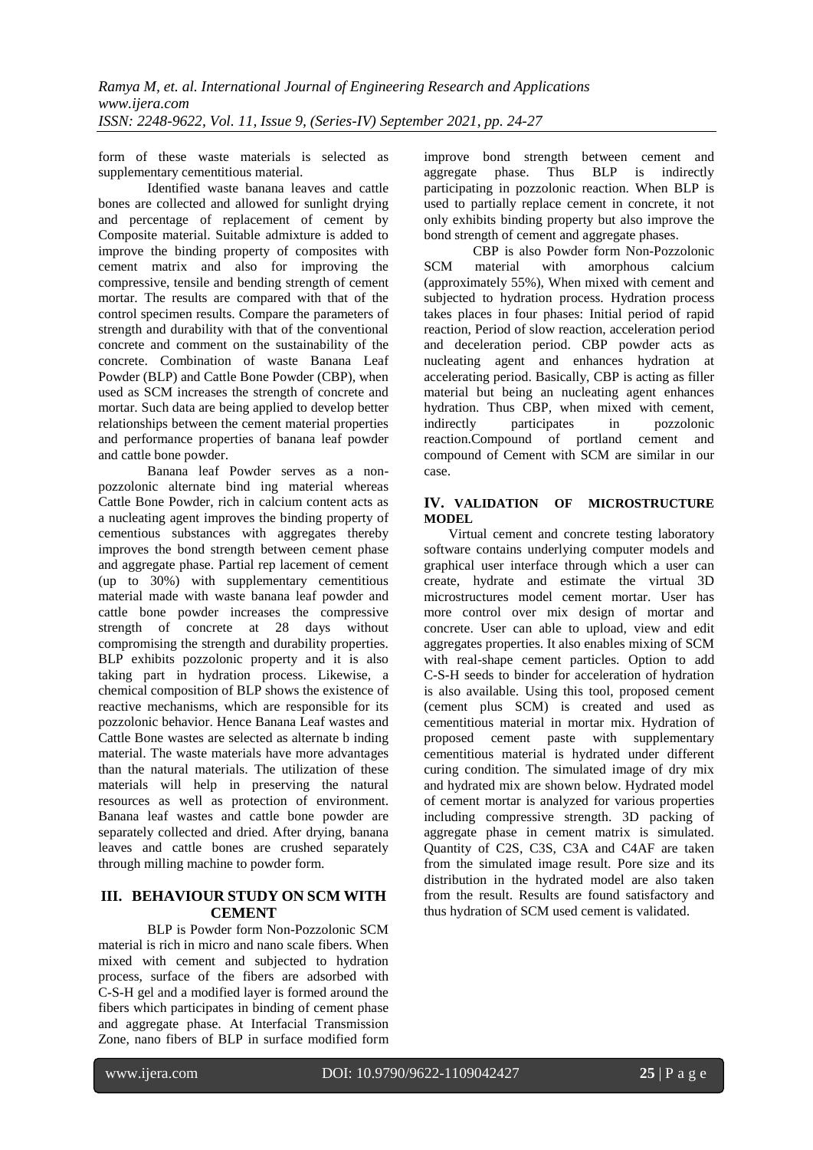form of these waste materials is selected as supplementary cementitious material.

Identified waste banana leaves and cattle bones are collected and allowed for sunlight drying and percentage of replacement of cement by Composite material. Suitable admixture is added to improve the binding property of composites with cement matrix and also for improving the compressive, tensile and bending strength of cement mortar. The results are compared with that of the control specimen results. Compare the parameters of strength and durability with that of the conventional concrete and comment on the sustainability of the concrete. Combination of waste Banana Leaf Powder (BLP) and Cattle Bone Powder (CBP), when used as SCM increases the strength of concrete and mortar. Such data are being applied to develop better relationships between the cement material properties and performance properties of banana leaf powder and cattle bone powder.

Banana leaf Powder serves as a nonpozzolonic alternate bind ing material whereas Cattle Bone Powder, rich in calcium content acts as a nucleating agent improves the binding property of cementious substances with aggregates thereby improves the bond strength between cement phase and aggregate phase. Partial rep lacement of cement (up to 30%) with supplementary cementitious material made with waste banana leaf powder and cattle bone powder increases the compressive strength of concrete at 28 days without compromising the strength and durability properties. BLP exhibits pozzolonic property and it is also taking part in hydration process. Likewise, a chemical composition of BLP shows the existence of reactive mechanisms, which are responsible for its pozzolonic behavior. Hence Banana Leaf wastes and Cattle Bone wastes are selected as alternate b inding material. The waste materials have more advantages than the natural materials. The utilization of these materials will help in preserving the natural resources as well as protection of environment. Banana leaf wastes and cattle bone powder are separately collected and dried. After drying, banana leaves and cattle bones are crushed separately through milling machine to powder form.

# **III. BEHAVIOUR STUDY ON SCM WITH CEMENT**

BLP is Powder form Non-Pozzolonic SCM material is rich in micro and nano scale fibers. When mixed with cement and subjected to hydration process, surface of the fibers are adsorbed with C-S-H gel and a modified layer is formed around the fibers which participates in binding of cement phase and aggregate phase. At Interfacial Transmission Zone, nano fibers of BLP in surface modified form improve bond strength between cement and aggregate phase. Thus BLP is indirectly participating in pozzolonic reaction. When BLP is used to partially replace cement in concrete, it not only exhibits binding property but also improve the bond strength of cement and aggregate phases.

CBP is also Powder form Non-Pozzolonic SCM material with amorphous calcium (approximately 55%), When mixed with cement and subjected to hydration process. Hydration process takes places in four phases: Initial period of rapid reaction, Period of slow reaction, acceleration period and deceleration period. CBP powder acts as nucleating agent and enhances hydration at accelerating period. Basically, CBP is acting as filler material but being an nucleating agent enhances hydration. Thus CBP, when mixed with cement,<br>indirectly participates in pozzolonic indirectly participates in reaction.Compound of portland cement and compound of Cement with SCM are similar in our case.

## **IV. VALIDATION OF MICROSTRUCTURE MODEL**

Virtual cement and concrete testing laboratory software contains underlying computer models and graphical user interface through which a user can create, hydrate and estimate the virtual 3D microstructures model cement mortar. User has more control over mix design of mortar and concrete. User can able to upload, view and edit aggregates properties. It also enables mixing of SCM with real-shape cement particles. Option to add C-S-H seeds to binder for acceleration of hydration is also available. Using this tool, proposed cement (cement plus SCM) is created and used as cementitious material in mortar mix. Hydration of proposed cement paste with supplementary cementitious material is hydrated under different curing condition. The simulated image of dry mix and hydrated mix are shown below. Hydrated model of cement mortar is analyzed for various properties including compressive strength. 3D packing of aggregate phase in cement matrix is simulated. Quantity of C2S, C3S, C3A and C4AF are taken from the simulated image result. Pore size and its distribution in the hydrated model are also taken from the result. Results are found satisfactory and thus hydration of SCM used cement is validated.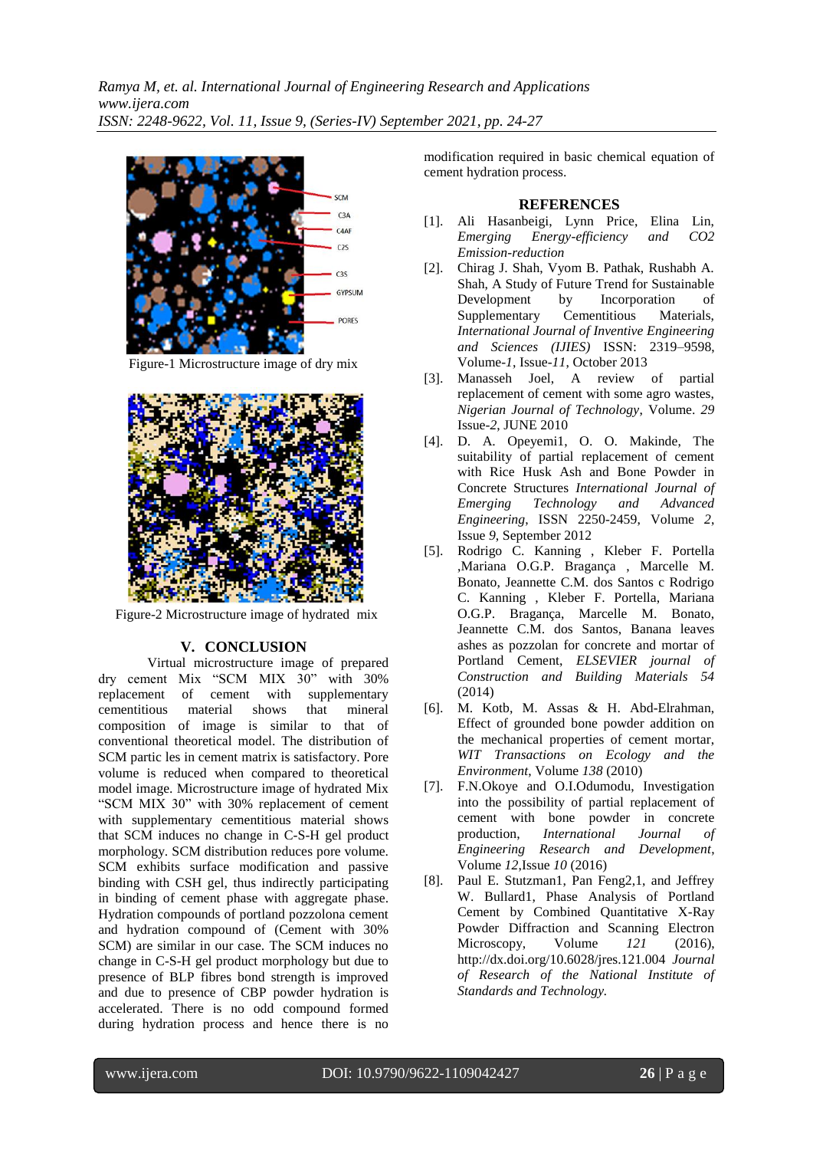

Figure-1 Microstructure image of dry mix



Figure-2 Microstructure image of hydrated mix

# **V. CONCLUSION**

Virtual microstructure image of prepared dry cement Mix "SCM MIX 30" with 30% replacement of cement with supplementary cementitious material shows that mineral composition of image is similar to that of conventional theoretical model. The distribution of SCM partic les in cement matrix is satisfactory. Pore volume is reduced when compared to theoretical model image. Microstructure image of hydrated Mix "SCM MIX 30" with 30% replacement of cement with supplementary cementitious material shows that SCM induces no change in C-S-H gel product morphology. SCM distribution reduces pore volume. SCM exhibits surface modification and passive binding with CSH gel, thus indirectly participating in binding of cement phase with aggregate phase. Hydration compounds of portland pozzolona cement and hydration compound of (Cement with 30% SCM) are similar in our case. The SCM induces no change in C-S-H gel product morphology but due to presence of BLP fibres bond strength is improved and due to presence of CBP powder hydration is accelerated. There is no odd compound formed during hydration process and hence there is no

modification required in basic chemical equation of cement hydration process.

## **REFERENCES**

- [1]. Ali Hasanbeigi, Lynn Price, Elina Lin, *Emerging Energy-efficiency and CO2 Emission-reduction*
- [2]. Chirag J. Shah, Vyom B. Pathak, Rushabh A. Shah, A Study of Future Trend for Sustainable Development by Incorporation of Supplementary Cementitious Materials, *International Journal of Inventive Engineering and Sciences (IJIES)* ISSN: 2319–9598, Volume-*1*, Issue-*11*, October 2013
- [3]. Manasseh Joel, A review of partial replacement of cement with some agro wastes, *Nigerian Journal of Technology*, Volume. *29* Issue-*2*, JUNE 2010
- [4]. D. A. Opeyemi1, O. O. Makinde, The suitability of partial replacement of cement with Rice Husk Ash and Bone Powder in Concrete Structures *International Journal of Emerging Technology and Advanced Engineering*, ISSN 2250-2459, Volume *2*, Issue *9*, September 2012
- [5]. Rodrigo C. Kanning , Kleber F. Portella ,Mariana O.G.P. Bragança , Marcelle M. Bonato, Jeannette C.M. dos Santos c Rodrigo C. Kanning , Kleber F. Portella, Mariana O.G.P. Bragança, Marcelle M. Bonato, Jeannette C.M. dos Santos, Banana leaves ashes as pozzolan for concrete and mortar of Portland Cement, *ELSEVIER journal of Construction and Building Materials 54* (2014)
- [6]. M. Kotb, M. Assas & H. Abd-Elrahman, Effect of grounded bone powder addition on the mechanical properties of cement mortar, *WIT Transactions on Ecology and the Environment*, Volume *138* (2010)
- [7]. F.N.Okoye and O.I.Odumodu, Investigation into the possibility of partial replacement of cement with bone powder in concrete<br>production, *International Journal of International Journal of Engineering Research and Development*, Volume *12*,Issue *10* (2016)
- [8]. Paul E. Stutzman1, Pan Feng2,1, and Jeffrey W. Bullard1, Phase Analysis of Portland Cement by Combined Quantitative X-Ray Powder Diffraction and Scanning Electron Microscopy, Volume *121* (2016), http://dx.doi.org/10.6028/jres.121.004 *Journal of Research of the National Institute of Standards and Technology.*